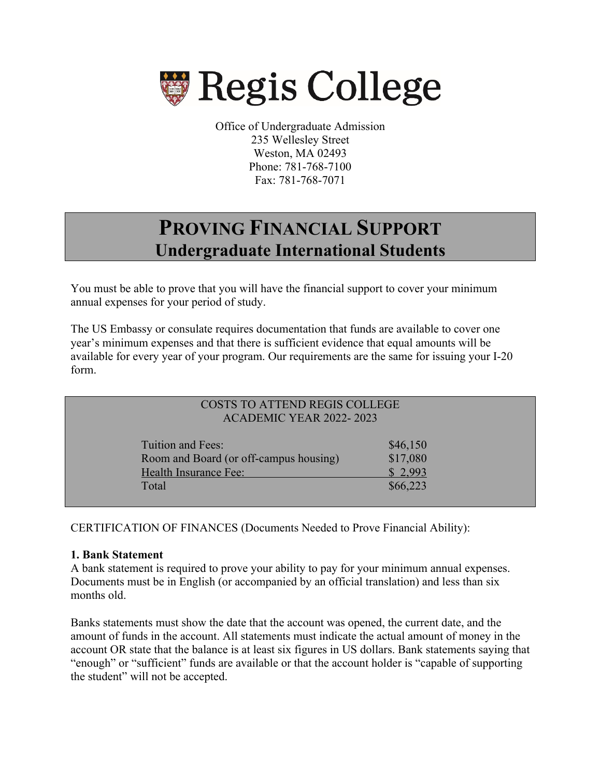

 Office of Undergraduate Admission 235 Wellesley Street Weston, MA 02493 Phone: 781-768-7100 Fax: 781-768-7071

# **PROVING FINANCIAL SUPPORT Undergraduate International Students**

You must be able to prove that you will have the financial support to cover your minimum annual expenses for your period of study.

The US Embassy or consulate requires documentation that funds are available to cover one year's minimum expenses and that there is sufficient evidence that equal amounts will be available for every year of your program. Our requirements are the same for issuing your I-20 form.

| COSTS TO ATTEND REGIS COLLEGE<br><b>ACADEMIC YEAR 2022-2023</b>                               |                                             |  |
|-----------------------------------------------------------------------------------------------|---------------------------------------------|--|
| Tuition and Fees:<br>Room and Board (or off-campus housing)<br>Health Insurance Fee:<br>Total | \$46,150<br>\$17,080<br>\$2,993<br>\$66,223 |  |

CERTIFICATION OF FINANCES (Documents Needed to Prove Financial Ability):

## **1. Bank Statement**

A bank statement is required to prove your ability to pay for your minimum annual expenses. Documents must be in English (or accompanied by an official translation) and less than six months old.

Banks statements must show the date that the account was opened, the current date, and the amount of funds in the account. All statements must indicate the actual amount of money in the account OR state that the balance is at least six figures in US dollars. Bank statements saying that "enough" or "sufficient" funds are available or that the account holder is "capable of supporting the student" will not be accepted.